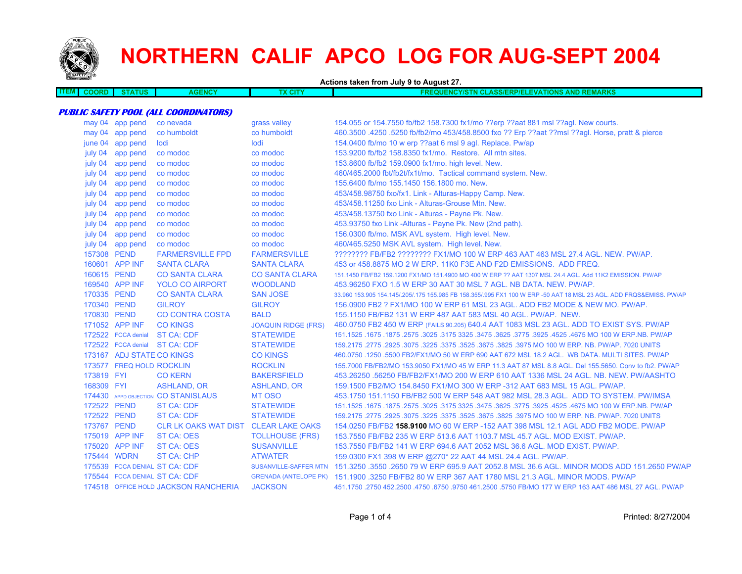

**ITEM**

## **NORTHERN CALIF APCO LOG FOR AUG-SEPT 2004**

**Actions taken from July 9 to August 27. COORD STATUS AGENCY TX CITY FREQUENCY/STN CLASS/ERP/ELEVATIONS AND REMARKS PUBLIC SAFETY POOL (ALL COORDINATORS)** may 04 app pend co nevada grass valley 154.055 or 154.7550 fb/fb2 158.7300 fx1/mo ??erp ??aat 881 msl ??agl. New courts. may 04 app pend co humboldt co humboldt 460.3500 .4250 .5250 fb/fb2/mo 453/458.8500 fxo ?? Erp ??aat ??msl ??agl. Horse, pratt & pierce june 04 app pend lodi lodi 154.0400 fb/mo 10 w erp ??aat 6 msl 9 agl. Replace. Pw/ap

| july 04     | app pend                  | co modoc                             | co modoc                   | 153.9200 fb/fb2 158.8350 fx1/mo. Restore. All mtn sites.                                                            |
|-------------|---------------------------|--------------------------------------|----------------------------|---------------------------------------------------------------------------------------------------------------------|
| july 04     | app pend                  | co modoc                             | co modoc                   | 153.8600 fb/fb2 159.0900 fx1/mo. high level. New.                                                                   |
| july 04     | app pend                  | co modoc                             | co modoc                   | 460/465.2000 fbt/fb2t/fx1t/mo. Tactical command system. New.                                                        |
| july 04     | app pend                  | co modoc                             | co modoc                   | 155.6400 fb/mo 155.1450 156.1800 mo. New.                                                                           |
| july 04     | app pend                  | co modoc                             | co modoc                   | 453/458.98750 fxo/fx1. Link - Alturas-Happy Camp. New.                                                              |
| july 04     | app pend                  | co modoc                             | co modoc                   | 453/458.11250 fxo Link - Alturas-Grouse Mtn. New.                                                                   |
| july 04     | app pend                  | co modoc                             | co modoc                   | 453/458.13750 fxo Link - Alturas - Payne Pk. New.                                                                   |
| july 04     | app pend                  | co modoc                             | co modoc                   | 453.93750 fxo Link -Alturas - Payne Pk. New (2nd path).                                                             |
| july 04     | app pend                  | co modoc                             | co modoc                   | 156.0300 fb/mo. MSK AVL system. High level. New.                                                                    |
| july 04     | app pend                  | co modoc                             | co modoc                   | 460/465.5250 MSK AVL system. High level. New.                                                                       |
| 157308 PEND |                           | <b>FARMERSVILLE FPD</b>              | <b>FARMERSVILLE</b>        | ???????? FB/FB2 ???????? FX1/MO 100 W ERP 463 AAT 463 MSL 27.4 AGL. NEW. PW/AP.                                     |
|             | 160601 APP INF            | <b>SANTA CLARA</b>                   | <b>SANTA CLARA</b>         | 453 or 458,8875 MO 2 W ERP, 11K0 F3E AND F2D EMISSIONS. ADD FREQ.                                                   |
| 160615 PEND |                           | <b>CO SANTA CLARA</b>                | <b>CO SANTA CLARA</b>      | 151.1450 FB/FB2 159.1200 FX1/MO 151.4900 MO 400 W ERP ?? AAT 1307 MSL 24.4 AGL, Add 11K2 EMISSION, PW/AP            |
|             | 169540 APP INF            | <b>YOLO CO AIRPORT</b>               | <b>WOODLAND</b>            | 453,96250 FXO 1.5 W ERP 30 AAT 30 MSL 7 AGL, NB DATA, NEW, PW/AP.                                                   |
| 170335 PEND |                           | <b>CO SANTA CLARA</b>                | <b>SAN JOSE</b>            | 33.960 153.905 154.145/.205/.175 155.985 FB 158.355/.995 FX1 100 W ERP -50 AAT 18 MSL 23 AGL. ADD FRQS&EMISS. PW/AP |
| 170340 PEND |                           | <b>GILROY</b>                        | <b>GILROY</b>              | 156,0900 FB2 ? FX1/MO 100 W ERP 61 MSL 23 AGL, ADD FB2 MODE & NEW MO, PW/AP.                                        |
| 170830 PEND |                           | <b>CO CONTRA COSTA</b>               | <b>BALD</b>                | 155,1150 FB/FB2 131 W ERP 487 AAT 583 MSL 40 AGL, PW/AP, NEW.                                                       |
|             | 171052 APP INF            | <b>CO KINGS</b>                      | <b>JOAQUIN RIDGE (FRS)</b> | 460.0750 FB2 450 W ERP (FAILS 90.205) 640.4 AAT 1083 MSL 23 AGL. ADD TO EXIST SYS. PW/AP                            |
|             | 172522 FCCA denial        | <b>ST CA: CDF</b>                    | <b>STATEWIDE</b>           | 151.1525 .1675 NO 100 W ERP.NB. PW/AP .2575 .3625 .3475 .3475 .3625 .3475 .3625 .3025 .1675 .1675 .1675 .1675       |
|             |                           | 172522 FCCA denial ST CA: CDF        | <b>STATEWIDE</b>           | 159,2175,2775,2925,3075,3225,3375,3525,3675,3825,3975 MO 100 W ERP, NB, PW/AP, 7020 UNITS                           |
|             | 173167 ADJ STATE CO KINGS |                                      | <b>CO KINGS</b>            | 460.0750 .1250 .5500 FB2/FX1/MO 50 W ERP 690 AAT 672 MSL 18.2 AGL. WB DATA. MULTI SITES. PW/AP                      |
|             | 173577 FREQ HOLD ROCKLIN  |                                      | <b>ROCKLIN</b>             | 155,7000 FB/FB2/MO 153,9050 FX1/MO 45 W ERP 11.3 AAT 87 MSL 8.8 AGL, Del 155,5650, Conv to fb2, PW/AP               |
| 173819 FYI  |                           | <b>CO KERN</b>                       | <b>BAKERSFIELD</b>         | 453.26250 .56250 FB/FB2/FX1/MO 200 W ERP 610 AAT 1336 MSL 24 AGL. NB. NEW. PW/AASHTO                                |
| 168309 FYI  |                           | <b>ASHLAND, OR</b>                   | <b>ASHLAND, OR</b>         | 159,1500 FB2/MO 154,8450 FX1/MO 300 W ERP -312 AAT 683 MSL 15 AGL, PW/AP.                                           |
|             |                           | 174430 APPD OBJECTION CO STANISLAUS  | MT OSO                     | 453.1750 151.1150 FB/FB2 500 W ERP 548 AAT 982 MSL 28.3 AGL. ADD TO SYSTEM, PW/IMSA                                 |
| 172522 PEND |                           | <b>ST CA: CDF</b>                    | <b>STATEWIDE</b>           | 151.1525 .1675 .1675 .3625 .3625 .3775 .3925 .3925 .3775 .3925 .3775 .3925 .4525 .1675 .1675 .1679 .1679 .167       |
| 172522 PEND |                           | <b>ST CA: CDF</b>                    | <b>STATEWIDE</b>           | 159.2175 .2775 .2925 .3075 .3225 .3525 .3625 .3675 .3825 .3975 MO 100 W ERP. NB. PW/AP. 7020 UNITS                  |
| 173767 PEND |                           | <b>CLR LK OAKS WAT DIST</b>          | <b>CLEAR LAKE OAKS</b>     | 154,0250 FB/FB2 <b>158,9100 MO 60 W ERP -152 AAT 398 MSL 12.1 AGL ADD FB2 MODE. PW/AP</b>                           |
|             | 175019 APP INF            | <b>ST CA: OES</b>                    | <b>TOLLHOUSE (FRS)</b>     | 153.7550 FB/FB2 235 W ERP 513.6 AAT 1103.7 MSL 45.7 AGL, MOD EXIST, PW/AP.                                          |
|             | 175020 APP INF            | <b>ST CA: OES</b>                    | <b>SUSANVILLE</b>          | 153.7550 FB/FB2 141 W ERP 694.6 AAT 2052 MSL 36.6 AGL, MOD EXIST, PW/AP.                                            |
| 175444 WDRN |                           | ST CA: CHP                           | <b>ATWATER</b>             | 159.0300 FX1 398 W ERP @270° 22 AAT 44 MSL 24.4 AGL. PW/AP.                                                         |
|             |                           | 175539 FCCA DENIAL ST CA: CDF        |                            | SUSANVILLE-SAFFER MTN 151.3250 .3550 .2650 79 W ERP 695.9 AAT 2052.8 MSL 36.6 AGL. MINOR MODS ADD 151.2650 PW/AP    |
|             |                           | 175544 FCCA DENIAL ST CA: CDF        |                            | GRENADA (ANTELOPE PK) 151.1900 .3250 FB/FB2 80 W ERP 367 AAT 1780 MSL 21.3 AGL. MINOR MODS, PW/AP                   |
|             |                           | 174518 OFFICE HOLD JACKSON RANCHERIA | <b>JACKSON</b>             | 451,1750 .2750 452,2500 .4750 .6750 .9750 461,2500 .5750 FB/MO 177 W ERP 163 AAT 486 MSL 27 AGL, PW/AP              |
|             |                           |                                      |                            |                                                                                                                     |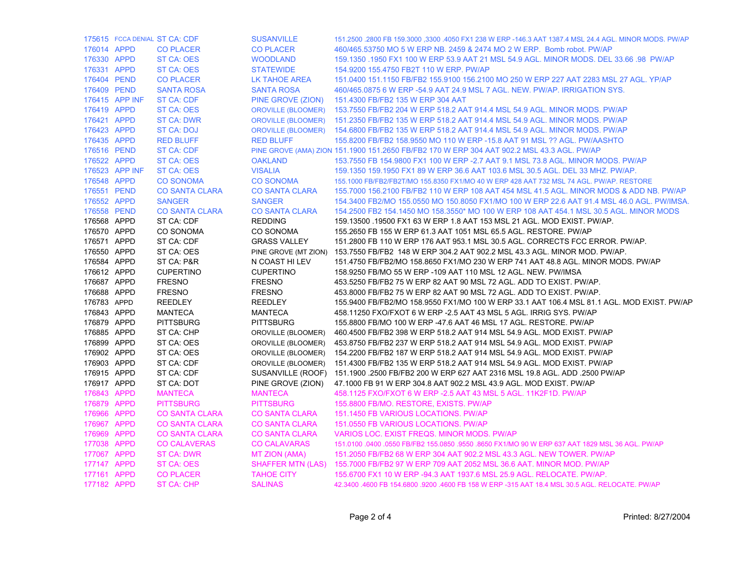|             |                | 175615 FCCA DENIAL ST CA: CDF | <b>SUSANVILLE</b>         | 151.2500 .2800 FB 159.3000 ,3300 .4050 FX1 238 W ERP -146.3 AAT 1387.4 MSL 24.4 AGL. MINOR MODS. PW/AP |
|-------------|----------------|-------------------------------|---------------------------|--------------------------------------------------------------------------------------------------------|
| 176014 APPD |                | <b>CO PLACER</b>              | <b>CO PLACER</b>          | 460/465.53750 MO 5 W ERP NB, 2459 & 2474 MO 2 W ERP. Bomb robot, PW/AP                                 |
| 176330 APPD |                | ST CA: OES                    | <b>WOODLAND</b>           | 159.1350 .1950 FX1 100 W ERP 53.9 AAT 21 MSL 54.9 AGL. MINOR MODS. DEL 33.66 .98 PW/AP                 |
| 176331 APPD |                | ST CA: OES                    | <b>STATEWIDE</b>          | 154.9200 155.4750 FB2T 110 W ERP. PW/AP                                                                |
| 176404 PEND |                | <b>CO PLACER</b>              | LK TAHOE AREA             | 151.0400 151.1150 FB/FB2 155.9100 156.2100 MO 250 W ERP 227 AAT 2283 MSL 27 AGL. YP/AP                 |
| 176409 PEND |                | <b>SANTA ROSA</b>             | <b>SANTA ROSA</b>         | 460/465.0875 6 W ERP -54.9 AAT 24.9 MSL 7 AGL. NEW. PW/AP. IRRIGATION SYS.                             |
|             | 176415 APP INF | ST CA: CDF                    | PINE GROVE (ZION)         | 151.4300 FB/FB2 135 W ERP 304 AAT                                                                      |
| 176419 APPD |                | <b>ST CA: OES</b>             | <b>OROVILLE (BLOOMER)</b> | 153.7550 FB/FB2 204 W ERP 518.2 AAT 914.4 MSL 54.9 AGL. MINOR MODS. PW/AP                              |
| 176421 APPD |                | <b>ST CA: DWR</b>             | <b>OROVILLE (BLOOMER)</b> | 151.2350 FB/FB2 135 W ERP 518.2 AAT 914.4 MSL 54.9 AGL. MINOR MODS. PW/AP                              |
| 176423 APPD |                | <b>ST CA: DOJ</b>             | <b>OROVILLE (BLOOMER)</b> | 154.6800 FB/FB2 135 W ERP 518.2 AAT 914.4 MSL 54.9 AGL. MINOR MODS. PW/AP                              |
| 176435 APPD |                | <b>RED BLUFF</b>              | <b>RED BLUFF</b>          | 155.8200 FB/FB2 158.9550 MO 110 W ERP -15.8 AAT 91 MSL ?? AGL. PW/AASHTO                               |
| 176516 PEND |                | ST CA: CDF                    |                           | PINE GROVE (AMA) ZION 151.1900 151.2650 FB/FB2 170 W ERP 304 AAT 902.2 MSL 43.3 AGL. PW/AP             |
| 176522 APPD |                | ST CA: OES                    | <b>OAKLAND</b>            | 153.7550 FB 154.9800 FX1 100 W ERP -2.7 AAT 9.1 MSL 73.8 AGL. MINOR MODS. PW/AP                        |
|             | 176523 APP INF | <b>ST CA: OES</b>             | <b>VISALIA</b>            | 159.1350 159.1950 FX1 89 W ERP 36.6 AAT 103.6 MSL 30.5 AGL, DEL 33 MHZ, PW/AP,                         |
| 176548 APPD |                | <b>CO SONOMA</b>              | <b>CO SONOMA</b>          | 155.1000 FB/FB2/FB2T/MO 155.8350 FX1/MO 40 W ERP 428 AAT 732 MSL 74 AGL. PW/AP. RESTORE                |
| 176551 PEND |                | <b>CO SANTA CLARA</b>         | <b>CO SANTA CLARA</b>     | 155.7000 156.2100 FB/FB2 110 W ERP 108 AAT 454 MSL 41.5 AGL. MINOR MODS & ADD NB. PW/AP                |
| 176552 APPD |                | <b>SANGER</b>                 | <b>SANGER</b>             | 154.3400 FB2/MO 155.0550 MO 150.8050 FX1/MO 100 W ERP 22.6 AAT 91.4 MSL 46.0 AGL. PW/IMSA.             |
| 176558 PEND |                | <b>CO SANTA CLARA</b>         | <b>CO SANTA CLARA</b>     | 154.2500 FB2 154.1450 MO 158.3550* MO 100 W ERP 108 AAT 454.1 MSL 30.5 AGL. MINOR MODS                 |
| 176568 APPD |                | ST CA: CDF                    | <b>REDDING</b>            | 159.13500 .19500 FX1 63 W ERP 1.8 AAT 153 MSL 21 AGL. MOD EXIST. PW/AP.                                |
| 176570 APPD |                | CO SONOMA                     | CO SONOMA                 | 155,2650 FB 155 W ERP 61.3 AAT 1051 MSL 65.5 AGL, RESTORE, PW/AP                                       |
| 176571 APPD |                | ST CA: CDF                    | <b>GRASS VALLEY</b>       | 151.2800 FB 110 W ERP 176 AAT 953.1 MSL 30.5 AGL. CORRECTS FCC ERROR. PW/AP.                           |
| 176550 APPD |                | ST CA: OES                    | PINE GROVE (MT ZION)      | 153.7550 FB/FB2 148 W ERP 304.2 AAT 902.2 MSL 43.3 AGL. MINOR MOD. PW/AP.                              |
| 176584 APPD |                | ST CA: P&R                    | N COAST HI LEV            | 151.4750 FB/FB2/MO 158.8650 FX1/MO 230 W ERP 741 AAT 48.8 AGL. MINOR MODS. PW/AP                       |
| 176612 APPD |                | <b>CUPERTINO</b>              | <b>CUPERTINO</b>          | 158.9250 FB/MO 55 W ERP -109 AAT 110 MSL 12 AGL. NEW. PW/IMSA                                          |
| 176687 APPD |                | <b>FRESNO</b>                 | <b>FRESNO</b>             | 453.5250 FB/FB2 75 W ERP 82 AAT 90 MSL 72 AGL. ADD TO EXIST. PW/AP.                                    |
| 176688 APPD |                | <b>FRESNO</b>                 | <b>FRESNO</b>             | 453.8000 FB/FB2 75 W ERP 82 AAT 90 MSL 72 AGL. ADD TO EXIST. PW/AP.                                    |
| 176783 APPD |                | <b>REEDLEY</b>                | <b>REEDLEY</b>            | 155.9400 FB/FB2/MO 158.9550 FX1/MO 100 W ERP 33.1 AAT 106.4 MSL 81.1 AGL. MOD EXIST. PW/AP             |
| 176843 APPD |                | <b>MANTECA</b>                | <b>MANTECA</b>            | 458.11250 FXO/FXOT 6 W ERP - 2.5 AAT 43 MSL 5 AGL. IRRIG SYS. PW/AP                                    |
| 176879 APPD |                | <b>PITTSBURG</b>              | <b>PITTSBURG</b>          | 155.8800 FB/MO 100 W ERP -47.6 AAT 46 MSL 17 AGL. RESTORE. PW/AP                                       |
| 176885 APPD |                | ST CA: CHP                    | OROVILLE (BLOOMER)        | 460.4500 FB/FB2 398 W ERP 518.2 AAT 914 MSL 54.9 AGL. MOD EXIST. PW/AP                                 |
| 176899 APPD |                | ST CA: OES                    | OROVILLE (BLOOMER)        | 453.8750 FB/FB2 237 W ERP 518.2 AAT 914 MSL 54.9 AGL. MOD EXIST. PW/AP                                 |
| 176902 APPD |                | ST CA: OES                    | OROVILLE (BLOOMER)        | 154.2200 FB/FB2 187 W ERP 518.2 AAT 914 MSL 54.9 AGL. MOD EXIST. PW/AP                                 |
| 176903 APPD |                | ST CA: CDF                    | OROVILLE (BLOOMER)        | 151.4300 FB/FB2 135 W ERP 518.2 AAT 914 MSL 54.9 AGL. MOD EXIST. PW/AP                                 |
| 176915 APPD |                | ST CA: CDF                    | SUSANVILLE (ROOF)         | 151.1900 .2500 FB/FB2 200 W ERP 627 AAT 2316 MSL 19.8 AGL. ADD .2500 PW/AP                             |
| 176917 APPD |                | ST CA: DOT                    | PINE GROVE (ZION)         | 47.1000 FB 91 W ERP 304.8 AAT 902.2 MSL 43.9 AGL. MOD EXIST. PW/AP                                     |
| 176843 APPD |                | <b>MANTECA</b>                | <b>MANTECA</b>            | 458.1125 FXO/FXOT 6 W ERP - 2.5 AAT 43 MSL 5 AGL. 11K2F1D. PW/AP                                       |
| 176879 APPD |                | <b>PITTSBURG</b>              | <b>PITTSBURG</b>          | 155.8800 FB/MO. RESTORE, EXISTS. PW/AP                                                                 |
| 176966 APPD |                | <b>CO SANTA CLARA</b>         | <b>CO SANTA CLARA</b>     | 151.1450 FB VARIOUS LOCATIONS. PW/AP                                                                   |
| 176967 APPD |                | <b>CO SANTA CLARA</b>         | <b>CO SANTA CLARA</b>     | 151.0550 FB VARIOUS LOCATIONS. PW/AP                                                                   |
| 176969 APPD |                | <b>CO SANTA CLARA</b>         | <b>CO SANTA CLARA</b>     | VARIOS LOC. EXIST FREQS. MINOR MODS. PW/AP                                                             |
| 177038 APPD |                | <b>CO CALAVERAS</b>           | <b>CO CALAVARAS</b>       | 151.0100 .0400 .0550 FB/FB2 155.0850 .9550 .8650 FX1/MO 90 W ERP 637 AAT 1829 MSL 36 AGL. PW/AP        |
| 177067 APPD |                | <b>ST CA: DWR</b>             | <b>MT ZION (AMA)</b>      | 151.2050 FB/FB2 68 W ERP 304 AAT 902.2 MSL 43.3 AGL. NEW TOWER. PW/AP                                  |
| 177147 APPD |                | ST CA: OES                    | <b>SHAFFER MTN (LAS)</b>  | 155.7000 FB/FB2 97 W ERP 709 AAT 2052 MSL 36.6 AAT. MINOR MOD. PW/AP                                   |
| 177161 APPD |                | <b>CO PLACER</b>              | <b>TAHOE CITY</b>         | 155.6700 FX1 10 W ERP -94.3 AAT 1937.6 MSL 25.9 AGL. RELOCATE. PW/AP.                                  |
| 177182 APPD |                | <b>ST CA: CHP</b>             | <b>SALINAS</b>            | 42.3400 .4600 FB 154.6800 .9200 .4600 FB 158 W ERP -315 AAT 18.4 MSL 30.5 AGL. RELOCATE. PW/AP         |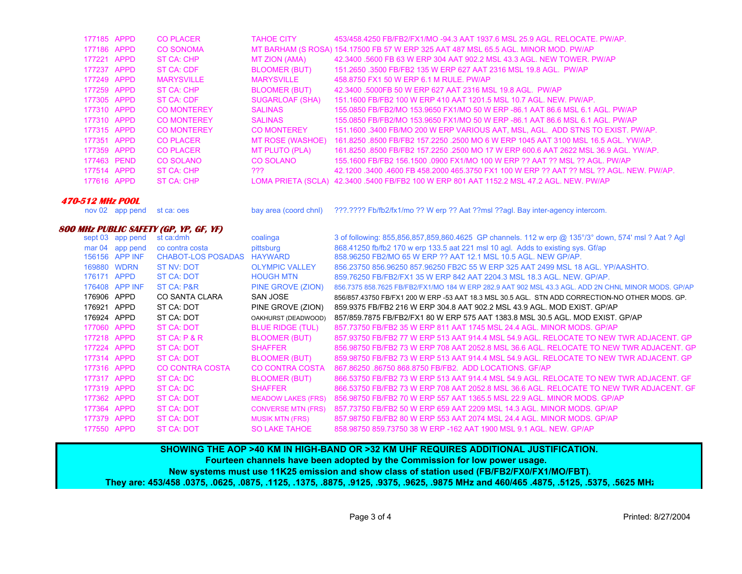| 177185 APPD | <b>CO PLACER</b>   | <b>TAHOE CITY</b>       | 453/458.4250 FB/FB2/FX1/MO -94.3 AAT 1937.6 MSL 25.9 AGL, RELOCATE, PW/AP.                |
|-------------|--------------------|-------------------------|-------------------------------------------------------------------------------------------|
| 177186 APPD | <b>CO SONOMA</b>   |                         | MT BARHAM (S ROSA) 154.17500 FB 57 W ERP 325 AAT 487 MSL 65.5 AGL. MINOR MOD. PW/AP       |
| 177221 APPD | ST CA: CHP         | MT ZION (AMA)           | 42.3400 .5600 FB 63 W ERP 304 AAT 902.2 MSL 43.3 AGL. NEW TOWER, PW/AP                    |
| 177237 APPD | ST CA: CDF         | <b>BLOOMER (BUT)</b>    | 151,2650,3500 FB/FB2 135 W ERP 627 AAT 2316 MSL 19.8 AGL, PW/AP                           |
| 177249 APPD | <b>MARYSVILLE</b>  | <b>MARYSVILLE</b>       | 458,8750 FX1 50 W ERP 6.1 M RULE, PW/AP                                                   |
| 177259 APPD | ST CA: CHP         | <b>BLOOMER (BUT)</b>    | 42.3400 .5000FB 50 W ERP 627 AAT 2316 MSL 19.8 AGL. PW/AP                                 |
| 177305 APPD | ST CA: CDF         | SUGARLOAF (SHA)         | 151.1600 FB/FB2 100 W ERP 410 AAT 1201.5 MSL 10.7 AGL. NEW. PW/AP.                        |
| 177310 APPD | <b>CO MONTEREY</b> | <b>SALINAS</b>          | 155,0850 FB/FB2/MO 153,9650 FX1/MO 50 W ERP -86.1 AAT 86.6 MSL 6.1 AGL, PW/AP             |
| 177310 APPD | <b>CO MONTEREY</b> | <b>SALINAS</b>          | 155,0850 FB/FB2/MO 153,9650 FX1/MO 50 W ERP -86.1 AAT 86.6 MSL 6.1 AGL, PW/AP             |
| 177315 APPD | <b>CO MONTEREY</b> | <b>CO MONTEREY</b>      | 151.1600 .3400 FB/MO 200 W ERP VARIOUS AAT, MSL, AGL. ADD STNS TO EXIST. PW/AP.           |
| 177351 APPD | <b>CO PLACER</b>   | <b>MT ROSE (WASHOE)</b> | 161.8250 .8500 FB/FB2 157.2250 .2500 MO 6 W ERP 1045 AAT 3100 MSL 16.5 AGL. YW/AP.        |
| 177359 APPD | <b>CO PLACER</b>   | MT PLUTO (PLA)          | 161.8250 .8500 FB/FB2 157.2250 .2500 MO 17 W ERP 600.6 AAT 2622 MSL 36.9 AGL, YW/AP,      |
| 177463 PEND | <b>CO SOLANO</b>   | CO SOLANO               | 155.1600 FB/FB2 156.1500 .0900 FX1/MO 100 W ERP ?? AAT ?? MSL ?? AGL. PW/AP               |
| 177514 APPD | ST CA: CHP         | ???                     | 42.1200 .3400 .4600 FB 458.2000 465.3750 FX1 100 W ERP ?? AAT ?? MSL ?? AGL. NEW. PW/AP.  |
| 177616 APPD | ST CA: CHP         |                         | LOMA PRIETA (SCLA) 42.3400 .5400 FB/FB2 100 W ERP 801 AAT 1152.2 MSL 47.2 AGL. NEW. PW/AP |
|             |                    |                         |                                                                                           |

## **470-512 MHz POOL**

nov 02 app pend st ca: oes bay area (coord chnl) ???.???? Fb/fb2/fx1/mo ?? W erp ?? Aat ??msl ??agl. Bay inter-agency intercom.

## **800 MHz PUBLIC SAFETY (GP, YP, GF, YF)**

|             | sept 03 app pend | st ca:dmh                 | coalinga                  | 3 of following: 855,856,857,859,860.4625 GP channels. 112 w erp @ 135°/3° down, 574' msl ? Aat ? Agl |
|-------------|------------------|---------------------------|---------------------------|------------------------------------------------------------------------------------------------------|
| mar 04      | app pend         | co contra costa           | pittsburg                 | 868.41250 fb/fb2 170 w erp 133.5 aat 221 msl 10 agl. Adds to existing sys. Gf/ap                     |
|             | 156156 APP INF   | <b>CHABOT-LOS POSADAS</b> | HAYWARD                   | 858,96250 FB2/MO 65 W ERP ?? AAT 12.1 MSL 10.5 AGL, NEW GP/AP.                                       |
|             | 169880 WDRN      | ST NV: DOT                | <b>OLYMPIC VALLEY</b>     | 856.23750 856.96250 857.96250 FB2C 55 W ERP 325 AAT 2499 MSL 18 AGL, YP/AASHTO.                      |
| 176171      | APPD             | ST CA: DOT                | <b>HOUGH MTN</b>          | 859.76250 FB/FB2/FX1 35 W ERP 842 AAT 2204.3 MSL 18.3 AGL, NEW, GP/AP.                               |
|             | 176408 APP INF   | ST CA: P&R                | PINE GROVE (ZION)         | 856.7375 858.7625 FB/FB2/FX1/MO 184 W ERP 282.9 AAT 902 MSL 43.3 AGL, ADD 2N CHNL MINOR MODS, GP/AP  |
| 176906 APPD |                  | CO SANTA CLARA            | <b>SAN JOSE</b>           | 856/857.43750 FB/FX1 200 W ERP-53 AAT 18.3 MSL 30.5 AGL. STN ADD CORRECTION-NO OTHER MODS. GP.       |
| 176921      | APPD             | ST CA: DOT                | PINE GROVE (ZION)         | 859.9375 FB/FB2 216 W ERP 304.8 AAT 902.2 MSL 43.9 AGL, MOD EXIST, GP/AP                             |
| 176924 APPD |                  | ST CA: DOT                | OAKHURST (DEADWOOD)       | 857/859.7875 FB/FB2/FX1 80 W ERP 575 AAT 1383.8 MSL 30.5 AGL, MOD EXIST, GP/AP                       |
| 177060 APPD |                  | ST CA: DOT                | <b>BLUE RIDGE (TUL)</b>   | 857 73750 FB/FB2 35 W ERP 811 AAT 1745 MSL 24.4 AGL, MINOR MODS, GP/AP                               |
| 177218 APPD |                  | ST CA: P & R              | BLOOMER (BUT)             | 857,93750 FB/FB2 77 W ERP 513 AAT 914.4 MSL 54.9 AGL, RELOCATE TO NEW TWR ADJACENT, GP               |
| 177224 APPD |                  | ST CA: DOT                | <b>SHAFFER</b>            | 856.98750 FB/FB2 73 W ERP 708 AAT 2052.8 MSL 36.6 AGL. RELOCATE TO NEW TWR ADJACENT. GP              |
| 177314 APPD |                  | ST CA: DOT                | BLOOMER (BUT)             | 859,98750 FB/FB2 73 W ERP 513 AAT 914.4 MSL 54.9 AGL. RELOCATE TO NEW TWR ADJACENT, GP               |
| 177316 APPD |                  | CO CONTRA COSTA           | <b>CO CONTRA COSTA</b>    | 867.86250.86750.868.8750 FB/FB2. ADD LOCATIONS, GF/AP                                                |
| 177317 APPD |                  | ST CA: DC                 | <b>BLOOMER (BUT)</b>      | 866.53750 FB/FB2 73 W ERP 513 AAT 914.4 MSL 54.9 AGL. RELOCATE TO NEW TWR ADJACENT. GF               |
| 177319 APPD |                  | ST CA: DC                 | <b>SHAFFER</b>            | 866.53750 FB/FB2 73 W ERP 708 AAT 2052.8 MSL 36.6 AGL. RELOCATE TO NEW TWR ADJACENT. GF              |
| 177362 APPD |                  | ST CA: DOT                | <b>MEADOW LAKES (FRS)</b> | 856.98750 FB/FB2 70 W ERP 557 AAT 1365.5 MSL 22.9 AGL, MINOR MODS, GP/AP                             |
| 177364 APPD |                  | ST CA: DOT                | <b>CONVERSE MTN (FRS)</b> | 857 73750 FB/FB2 50 W ERP 659 AAT 2209 MSL 14.3 AGL, MINOR MODS, GP/AP                               |
| 177379 APPD |                  | ST CA: DOT                | <b>MUSIK MTN (FRS)</b>    | 857,98750 FB/FB2 80 W ERP 553 AAT 2074 MSL 24.4 AGL, MINOR MODS, GP/AP                               |
| 177550 APPD |                  | <b>ST CA: DOT</b>         | <b>SO LAKE TAHOE</b>      | 858,98750 859,73750 38 W ERP -162 AAT 1900 MSL 9.1 AGL, NEW, GP/AP                                   |

**SHOWING THE AOP >40 KM IN HIGH-BAND OR >32 KM UHF REQUIRES ADDITIONAL JUSTIFICATION. Fourteen channels have been adopted by the Commission for low power usage. New systems must use 11K25 emission and show class of station used (FB/FB2/FX0/FX1/MO/FBT). They are: 453/458 .0375, .0625, .0875, .1125, .1375, .8875, .9125, .9375, .9625, .9875 MHz and 460/465 .4875, .5125, .5375, .5625 MHz**